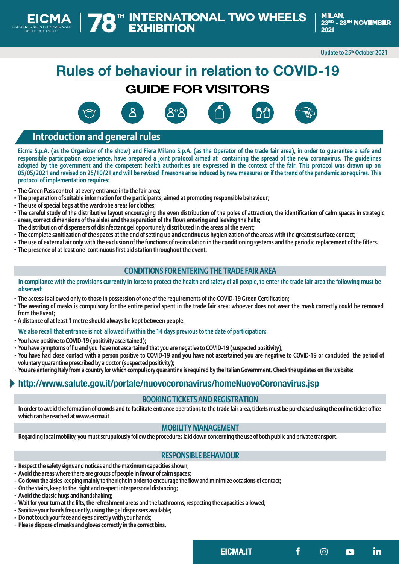**Update to 25th October 2021**

# **Rules of behaviour in relation to COVID-19**

# **GUIDE FOR VISITORS**







**EICMA.IT in**

# **Introduction and general rules**

**Eicma S.p.A. (as the Organizer of the show) and Fiera Milano S.p.A. (as the Operator of the trade fair area), in order to guarantee a safe and responsible participation experience, have prepared a joint protocol aimed at containing the spread of the new coronavirus. The guidelines adopted by the government and the competent health authorities are expressed in the context of the fair. This protocol was drawn up on 05/05/2021 and revised on 25/10/21 and will be revised if reasons arise induced by new measures or if the trend of the pandemic so requires. This protocol of implementation requires:**

- **- The Green Pass control at every entrance into the fair area;**
- **- The preparation of suitable information for the participants, aimed at promoting responsible behaviour;**
- **- The use of special bags at the wardrobe areas for clothes;**
- **- The careful study of the distributive layout encouraging the even distribution of the poles of attraction, the identification of calm spaces in strategic - areas, correct dimensions of the aisles and the separation of the flows entering and leaving the halls;**
- **The distribution of dispensers of disinfectant gel opportunely distributed in the areas of the event;**
- **- The complete sanitization of the spaces at the end of setting up and continuous hygienization of the areas with the greatest surface contact;**
- **- The use of external air only with the exclusion of the functions of recirculation in the conditioning systems and the periodic replacement of the filters.**
- **- The presence of at least one continuous first aid station throughout the event;**

# **CONDITIONS FOR ENTERING THE TRADE FAIR AREA**

#### **In compliance with the provisions currently in force to protect the health and safety of all people, to enter the trade fair area the following must be observed:**

- **The access is allowed only to those in possession of one of the requirements of the COVID-19 Green Certification; -**
- **The wearing of masks is compulsory for the entire period spent in the trade fair area; whoever does not wear the mask correctly could be removed from the Event;**
- **A distance of at least 1 metre should always be kept between people. -**

#### **We also recall that entrance is not allowed if within the 14 days previous to the date of participation:**

- **You have positive to COVID-19 (positivity ascertained); -**
- **You have symptoms of flu and you have not ascertained that you are negative to COVID-19 (suspected positivity); -**
- **You have had close contact with a person positive to COVID-19 and you have not ascertained you are negative to COVID-19 or concluded the period of voluntary quarantine prescribed by a doctor (suspected positivity);**
- **You are entering Italy from a country for which compulsory quarantine is required by the Italian Government. Check the updates on the website: -**

# **http://www.salute.gov.it/portale/nuovocoronavirus/homeNuovoCoronavirus.jsp**

# **BOOKING TICKETS AND REGISTRATION**

**In order to avoid the formation of crowds and to facilitate entrance operations to the trade fair area, tickets must be purchased using the online ticket office which can be reached at www.eicma.it**

### **MOBILITY MANAGEMENT**

**Regarding local mobility, you must scrupulously follow the procedures laid down concerning the use of both public and private transport.** 

# **RESPONSIBLE BEHAVIOUR**

- **Respect the safety signs and notices and the maximum capacities shown; -**
- **Avoid the areas where there are groups of people in favour of calm spaces; -**
- **Go down the aisles keeping mainly to the right in order to encourage the flow and minimize occasions of contact; -**
- **On the stairs, keep to the right and respect interpersonal distancing; -**
- **Avoid the classic hugs and handshaking; -**
- **Wait for your turn at the lifts, the refreshment areas and the bathrooms, respecting the capacities allowed; -**
- **Sanitize your hands frequently, using the gel dispensers available; -**
- **Do not touch your face and eyes directly with your hands; -**
- **Please dispose of masks and gloves correctly in the correct bins. -**